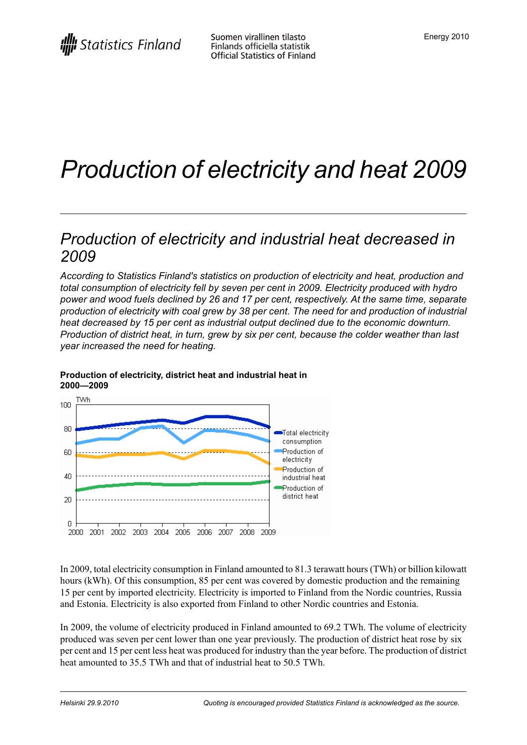# *Production of electricity and heat 2009*

## *Production of electricity and industrial heat decreased in 2009*

*According to Statistics Finland's statistics on production of electricity and heat, production and total consumption of electricity fell by seven per cent in 2009. Electricity produced with hydro power and wood fuels declined by 26 and 17 per cent, respectively. At the same time, separate production of electricity with coal grew by 38 per cent. The need for and production of industrial heat decreased by 15 per cent as industrial output declined due to the economic downturn. Production of district heat, in turn, grew by six per cent, because the colder weather than last year increased the need for heating.*



#### **Production of electricity, district heat and industrial heat in 2000—2009**

In 2009, total electricity consumption in Finland amounted to 81.3 terawatt hours(TWh) or billion kilowatt hours (kWh). Of this consumption, 85 per cent was covered by domestic production and the remaining 15 per cent by imported electricity. Electricity is imported to Finland from the Nordic countries, Russia and Estonia. Electricity is also exported from Finland to other Nordic countries and Estonia.

In 2009, the volume of electricity produced in Finland amounted to 69.2 TWh. The volume of electricity produced was seven per cent lower than one year previously. The production of district heat rose by six per cent and 15 per cent less heat was produced for industry than the year before. The production of district heat amounted to 35.5 TWh and that of industrial heat to 50.5 TWh.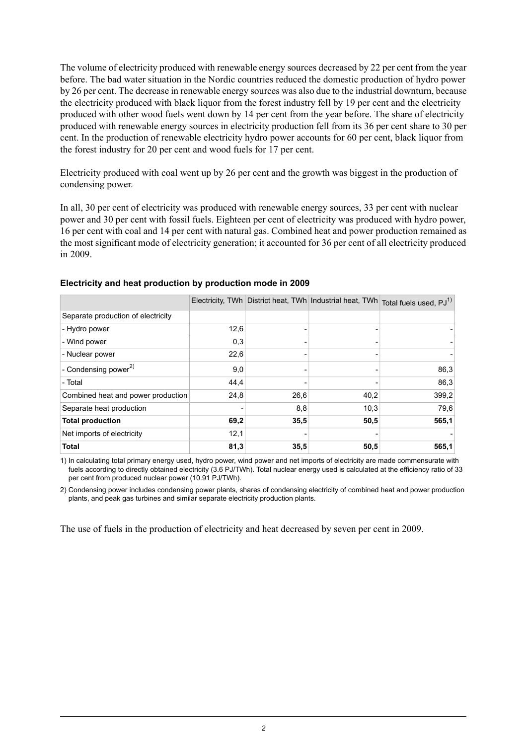The volume of electricity produced with renewable energy sources decreased by 22 per cent from the year before. The bad water situation in the Nordic countries reduced the domestic production of hydro power by 26 per cent. The decrease in renewable energy sources was also due to the industrial downturn, because the electricity produced with black liquor from the forest industry fell by 19 per cent and the electricity produced with other wood fuels went down by 14 per cent from the year before. The share of electricity produced with renewable energy sources in electricity production fell from its 36 per cent share to 30 per cent. In the production of renewable electricity hydro power accounts for 60 per cent, black liquor from the forest industry for 20 per cent and wood fuels for 17 per cent.

Electricity produced with coal went up by 26 per cent and the growth was biggest in the production of condensing power.

In all, 30 per cent of electricity was produced with renewable energy sources, 33 per cent with nuclear power and 30 per cent with fossil fuels. Eighteen per cent of electricity was produced with hydro power, 16 per cent with coal and 14 per cent with natural gas. Combined heat and power production remained as the most significant mode of electricity generation; it accounted for 36 per cent of all electricity produced in 2009.

|                                    |      |      |      | Electricity, TWh District heat, TWh Industrial heat, TWh Total fuels used, PJ <sup>1)</sup> |
|------------------------------------|------|------|------|---------------------------------------------------------------------------------------------|
| Separate production of electricity |      |      |      |                                                                                             |
| - Hydro power                      | 12,6 |      |      |                                                                                             |
| - Wind power                       | 0,3  |      |      |                                                                                             |
| - Nuclear power                    | 22,6 |      |      |                                                                                             |
| - Condensing power $^{2)}$         | 9,0  |      |      | 86,3                                                                                        |
| - Total                            | 44,4 |      |      | 86,3                                                                                        |
| Combined heat and power production | 24,8 | 26,6 | 40,2 | 399,2                                                                                       |
| Separate heat production           |      | 8,8  | 10,3 | 79,6                                                                                        |
| <b>Total production</b>            | 69,2 | 35,5 | 50,5 | 565,1                                                                                       |
| Net imports of electricity         | 12,1 |      |      |                                                                                             |
| <b>Total</b>                       | 81,3 | 35,5 | 50,5 | 565,1                                                                                       |

#### **Electricity and heat production by production mode in 2009**

1) In calculating total primary energy used, hydro power, wind power and net imports of electricity are made commensurate with fuels according to directly obtained electricity (3.6 PJ/TWh). Total nuclear energy used is calculated at the efficiency ratio of 33 per cent from produced nuclear power (10.91 PJ/TWh).

2) Condensing power includes condensing power plants, shares of condensing electricity of combined heat and power production plants, and peak gas turbines and similar separate electricity production plants.

The use of fuels in the production of electricity and heat decreased by seven per cent in 2009.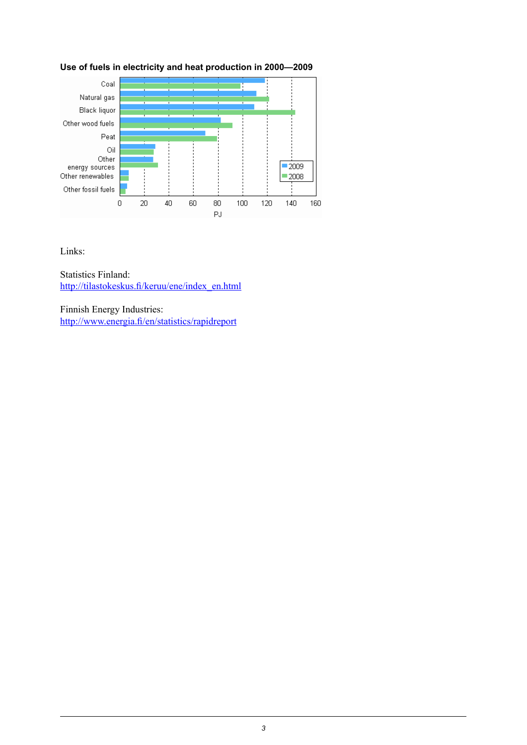

#### **Use of fuels in electricity and heat production in 2000—2009**

Links:

Statistics Finland: [http://tilastokeskus.fi/keruu/ene/index\\_en.html](http://tilastokeskus.fi/keruu/ene/index_en.html)

Finnish Energy Industries: <http://www.energia.fi/en/statistics/rapidreport>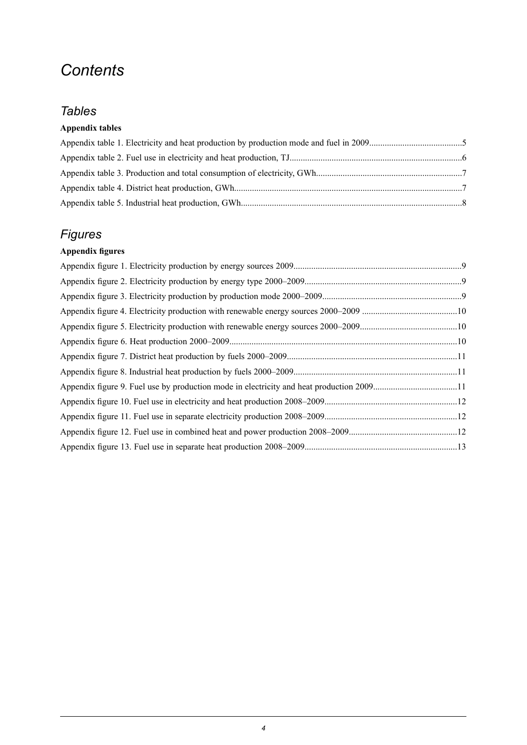## *Contents*

## *Tables*

## **Appendix tables**

## *Figures*

## **Appendix figures**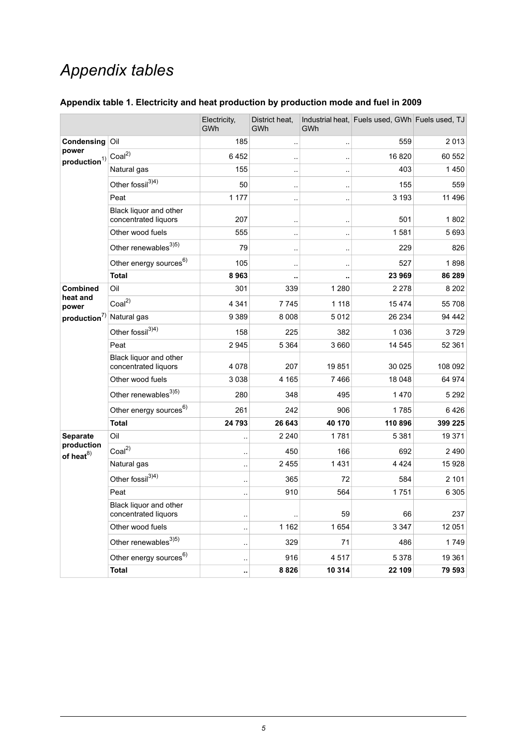## *Appendix tables*

<span id="page-4-0"></span>

|  |  |  | Appendix table 1. Electricity and heat production by production mode and fuel in 2009 |  |
|--|--|--|---------------------------------------------------------------------------------------|--|
|--|--|--|---------------------------------------------------------------------------------------|--|

|                               |                                                | Electricity,<br>GWh  | District heat.<br>GWh | GWh                    | Industrial heat, Fuels used, GWh Fuels used, TJ |          |
|-------------------------------|------------------------------------------------|----------------------|-----------------------|------------------------|-------------------------------------------------|----------|
| Condensing                    | Oil                                            | 185                  |                       | $\cdot$ .              | 559                                             | 2013     |
| power<br>$production^{1)}$    | Coal <sup>2</sup>                              | 6452                 | $\ddot{\phantom{a}}$  |                        | 16820                                           | 60 552   |
|                               | Natural gas                                    | 155                  | ٠.                    | ٠.                     | 403                                             | 1450     |
|                               | Other fossil <sup>3)4)</sup>                   | 50                   | ٠.                    | $\ddotsc$              | 155                                             | 559      |
|                               | Peat                                           | 1 177                | ٠.                    | $\ddot{\phantom{a}}$ . | 3 1 9 3                                         | 11 4 9 6 |
|                               | Black liquor and other<br>concentrated liquors | 207                  |                       | $\ddot{\phantom{0}}$   | 501                                             | 1802     |
|                               | Other wood fuels                               | 555                  | μ.                    | $\ddotsc$              | 1581                                            | 5693     |
|                               | Other renewables <sup>3)5)</sup>               | 79                   | $\ddot{\phantom{a}}$  | $\ddotsc$              | 229                                             | 826      |
|                               | Other energy sources <sup>6)</sup>             | 105                  | $\ddot{\phantom{a}}$  |                        | 527                                             | 1898     |
|                               | <b>Total</b>                                   | 8963                 | ٠.                    |                        | 23 969                                          | 86 289   |
| <b>Combined</b>               | Oil                                            | 301                  | 339                   | 1 2 8 0                | 2 2 7 8                                         | 8 2 0 2  |
| heat and<br>power             | Coal <sup>2</sup>                              | 4 3 4 1              | 7745                  | 1 1 1 8                | 15 4 74                                         | 55 708   |
| production <sup>7</sup>       | Natural gas                                    | 9 3 8 9              | 8 0 0 8               | 5012                   | 26 234                                          | 94 4 42  |
|                               | Other fossil <sup>3)4)</sup>                   | 158                  | 225                   | 382                    | 1036                                            | 3729     |
|                               | Peat                                           | 2945                 | 5 3 6 4               | 3 6 6 0                | 14 545                                          | 52 361   |
|                               | Black liquor and other<br>concentrated liquors | 4 0 7 8              | 207                   | 19851                  | 30 0 25                                         | 108 092  |
|                               | Other wood fuels                               | 3 0 3 8              | 4 1 6 5               | 7466                   | 18 048                                          | 64 974   |
|                               | Other renewables <sup>3)5)</sup>               | 280                  | 348                   | 495                    | 1470                                            | 5 2 9 2  |
|                               | Other energy sources <sup>6)</sup>             | 261                  | 242                   | 906                    | 1785                                            | 6426     |
|                               | <b>Total</b>                                   | 24 793               | 26 643                | 40 170                 | 110 896                                         | 399 225  |
| Separate                      | Oil                                            | ٠.                   | 2 2 4 0               | 1781                   | 5 3 8 1                                         | 19 371   |
| production<br>of heat $^{8)}$ | Coal <sup>2</sup>                              | ٠.                   | 450                   | 166                    | 692                                             | 2490     |
|                               | Natural gas                                    | ٠.                   | 2 4 5 5               | 1431                   | 4 4 2 4                                         | 15928    |
|                               | Other fossil <sup>3)4)</sup>                   | $\ddot{\phantom{a}}$ | 365                   | 72                     | 584                                             | 2 1 0 1  |
|                               | Peat                                           |                      | 910                   | 564                    | 1751                                            | 6 3 0 5  |
|                               | Black liquor and other<br>concentrated liquors | ٠.                   | $\ddot{\phantom{1}}$  | 59                     | 66                                              | 237      |
|                               | Other wood fuels                               | $\ddotsc$            | 1 1 6 2               | 1654                   | 3 3 4 7                                         | 12 051   |
|                               | Other renewables <sup>3)5)</sup>               | $\ddot{\phantom{a}}$ | 329                   | 71                     | 486                                             | 1749     |
|                               | Other energy sources <sup>6)</sup>             | $\ddot{\phantom{0}}$ | 916                   | 4517                   | 5378                                            | 19 361   |
|                               | <b>Total</b>                                   | .,                   | 8826                  | 10 314                 | 22 109                                          | 79 593   |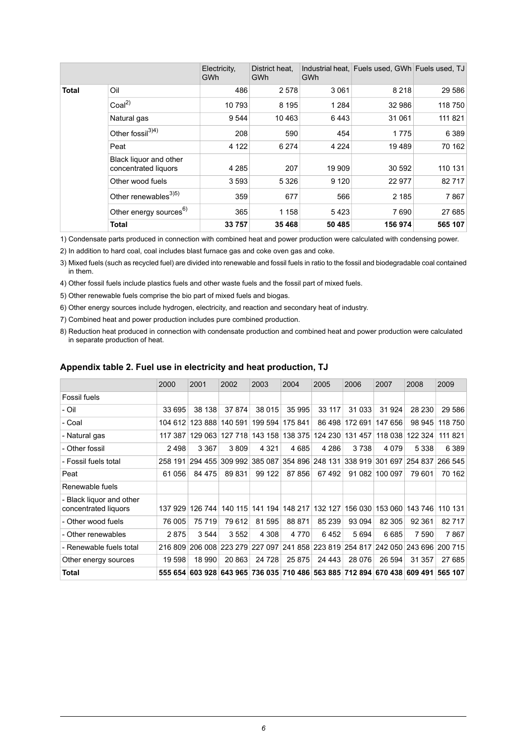|              |                                                | Electricity,<br><b>GWh</b> | District heat.<br>GWh | GWh     | Industrial heat, Fuels used, GWh Fuels used, TJ |         |
|--------------|------------------------------------------------|----------------------------|-----------------------|---------|-------------------------------------------------|---------|
| <b>Total</b> | Oil                                            | 486                        | 2578                  | 3 0 6 1 | 8 2 1 8                                         | 29 586  |
|              | Coal <sup>2</sup>                              | 10 793                     | 8 1 9 5               | 1 2 8 4 | 32 986                                          | 118 750 |
|              | Natural gas                                    | 9 5 4 4                    | 10 4 63               | 6443    | 31 061                                          | 111 821 |
|              | Other fossil <sup>3)4)</sup>                   | 208                        | 590                   | 454     | 1775                                            | 6 3 8 9 |
|              | Peat                                           | 4 1 2 2                    | 6 2 7 4               | 4 2 2 4 | 19489                                           | 70 162  |
|              | Black liquor and other<br>concentrated liquors | 4 2 8 5                    | 207                   | 19 909  | 30 592                                          | 110 131 |
|              | Other wood fuels                               | 3593                       | 5 3 2 6               | 9 1 2 0 | 22 977                                          | 82717   |
|              | Other renewables <sup>3)5)</sup>               | 359                        | 677                   | 566     | 2 1 8 5                                         | 7867    |
|              | Other energy sources <sup>6)</sup>             | 365                        | 1 1 5 8               | 5423    | 7690                                            | 27 685  |
|              | <b>Total</b>                                   | 33 757                     | 35 4 68               | 50 485  | 156 974                                         | 565 107 |

1) Condensate parts produced in connection with combined heat and power production were calculated with condensing power.

2) In addition to hard coal, coal includes blast furnace gas and coke oven gas and coke.

Mixed fuels (such as recycled fuel) are divided into renewable and fossil fuels in ratio to the fossil and biodegradable coal contained 3) in them.

4) Other fossil fuels include plastics fuels and other waste fuels and the fossil part of mixed fuels.

5) Other renewable fuels comprise the bio part of mixed fuels and biogas.

6) Other energy sources include hydrogen, electricity, and reaction and secondary heat of industry.

7) Combined heat and power production includes pure combined production.

<span id="page-5-0"></span>8) Reduction heat produced in connection with condensate production and combined heat and power production were calculated in separate production of heat.

#### **Appendix table 2. Fuel use in electricity and heat production, TJ**

|                                                  | 2000    | 2001    | 2002    | 2003                    | 2004    | 2005                                                            | 2006    | 2007           | 2008                    | 2009    |
|--------------------------------------------------|---------|---------|---------|-------------------------|---------|-----------------------------------------------------------------|---------|----------------|-------------------------|---------|
| Fossil fuels                                     |         |         |         |                         |         |                                                                 |         |                |                         |         |
| - Oil                                            | 33 695  | 38 138  | 37 874  | 38 015                  | 35 995  | 33 117                                                          | 31 0 33 | 31 924         | 28 230                  | 29 5 86 |
| - Coal                                           | 104 612 | 123 888 | 140 591 | 199 594                 | 175 841 | 86 498                                                          | 172 691 | 147 656        | 98 945                  | 118 750 |
| - Natural gas                                    | 117 387 | 129 063 | 127 718 | 143 158                 | 138 375 | 124 230                                                         | 131457  | 118 038        | 122 324                 | 111 821 |
| - Other fossil                                   | 2498    | 3 3 6 7 | 3809    | 4 3 2 1                 | 4685    | 4 2 8 6                                                         | 3738    | 4 0 7 9        | 5 3 3 8                 | 6 3 8 9 |
| - Fossil fuels total                             | 258 191 |         |         | 294 455 309 992 385 087 |         | 354 896 248 131 338 919 301 697 254 837                         |         |                |                         | 266 545 |
| Peat                                             | 61 056  | 84 475  | 89 831  | 99 122                  | 87856   | 67492                                                           |         | 91 082 100 097 | 79 601                  | 70 162  |
| Renewable fuels                                  |         |         |         |                         |         |                                                                 |         |                |                         |         |
| - Black liquor and other<br>concentrated liquors | 137 929 | 126 744 |         | 140 115 141 194         | 148 217 | 132 127                                                         |         |                | 156 030 153 060 143 746 | 110 131 |
| - Other wood fuels                               | 76 005  | 75 719  | 79 612  | 81 595                  | 88 871  | 85 239                                                          | 93 0 94 | 82 305         | 92 361                  | 82717   |
| - Other renewables                               | 2875    | 3544    | 3 5 5 2 | 4 3 0 8                 | 4 7 7 0 | 6452                                                            | 5694    | 6685           | 7 5 9 0                 | 7867    |
| - Renewable fuels total                          | 216 809 |         |         | 206 008 223 279 227 097 |         | 241 858 223 819 254 817 242 050 243 696                         |         |                |                         | 200 715 |
| Other energy sources                             | 19 598  | 18 990  | 20 863  | 24 7 28                 | 25 875  | 24 443                                                          | 28 0 76 | 26 594         | 31 357                  | 27 685  |
| Total                                            | 555 654 |         |         |                         |         | 603 928 643 965 736 035 710 486 563 885 712 894 670 438 609 491 |         |                |                         | 565 107 |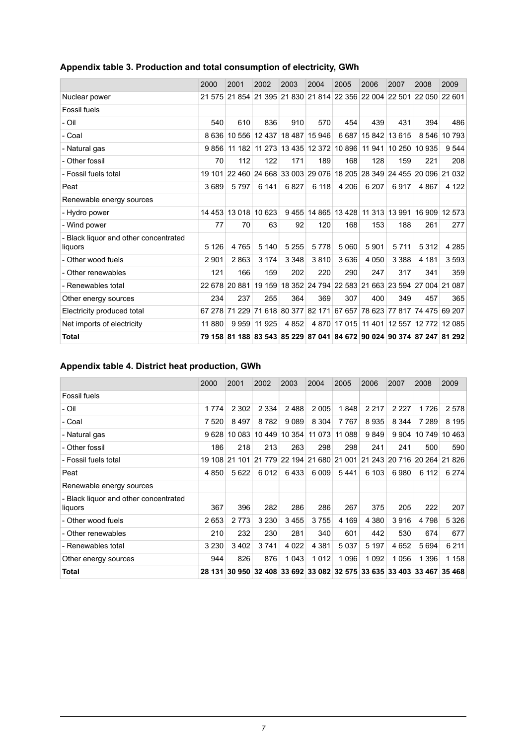<span id="page-6-0"></span>

| Appendix table 3. Production and total consumption of electricity, GWh |  |  |  |
|------------------------------------------------------------------------|--|--|--|
|                                                                        |  |  |  |

|                                                  | 2000    | 2001          | 2002                                                                  | 2003    | 2004          | 2005                                                    | 2006    | 2007                        | 2008          | 2009          |
|--------------------------------------------------|---------|---------------|-----------------------------------------------------------------------|---------|---------------|---------------------------------------------------------|---------|-----------------------------|---------------|---------------|
| Nuclear power                                    |         |               | 21 575 21 854 21 395 21 830 21 814 22 356 22 004 22 501               |         |               |                                                         |         |                             | 22 050 22 601 |               |
| <b>Fossil fuels</b>                              |         |               |                                                                       |         |               |                                                         |         |                             |               |               |
| - Oil                                            | 540     | 610           | 836                                                                   | 910     | 570           | 454                                                     | 439     | 431                         | 394           | 486           |
| - Coal                                           |         |               | 8 636 10 556 12 437                                                   |         | 18 487 15 946 | 6 6 8 7                                                 |         | 15 842 13 615               |               | 8 546 10 793  |
| - Natural gas                                    | 9856    | 11 182        |                                                                       |         |               | 11 273 13 435 12 372 10 896                             |         | 11 941 10 250 10 935        |               | 9544          |
| - Other fossil                                   | 70      | 112           | 122                                                                   | 171     | 189           | 168                                                     | 128     | 159                         | 221           | 208           |
| - Fossil fuels total                             | 19 101  |               | 22 460 24 668 33 003 29 076 18 205 28 349 24 455 20 096 21 032        |         |               |                                                         |         |                             |               |               |
| Peat                                             | 3689    | 5797          | 6 141                                                                 | 6827    | 6 118         | 4 206                                                   | 6 207   | 6917                        | 4867          | 4 1 2 2       |
| Renewable energy sources                         |         |               |                                                                       |         |               |                                                         |         |                             |               |               |
| - Hydro power                                    | 14 453  | 13018         | 10 623                                                                |         |               | 9 455 14 865 13 428                                     |         | 11 313 13 991               |               | 16 909 12 573 |
| - Wind power                                     | 77      | 70            | 63                                                                    | 92      | 120           | 168                                                     | 153     | 188                         | 261           | 277           |
| - Black liguor and other concentrated<br>liquors | 5 1 2 6 | 4765          | 5 1 4 0                                                               | 5 2 5 5 | 5778          | 5 0 6 0                                                 | 5901    | 5 7 1 1                     | 5312          | 4 2 8 5       |
| - Other wood fuels                               | 2901    | 2863          | 3 1 7 4                                                               | 3 3 4 8 | 3810          | 3636                                                    | 4 0 5 0 | 3 3 8 8                     | 4 181         | 3593          |
| - Other renewables                               | 121     | 166           | 159                                                                   | 202     | 220           | 290                                                     | 247     | 317                         | 341           | 359           |
| - Renewables total                               |         | 22 678 20 881 |                                                                       |         |               | 19 159 18 352 24 794 22 583 21 663 23 594 27 004 21 087 |         |                             |               |               |
| Other energy sources                             | 234     | 237           | 255                                                                   | 364     | 369           | 307                                                     | 400     | 349                         | 457           | 365           |
| Electricity produced total                       |         |               | 67 278 71 229 71 618 80 377 82 171 67 657                             |         |               |                                                         |         | 78 623 77 817 74 475 69 207 |               |               |
| Net imports of electricity                       | 11 880  | 9959          | 11 925                                                                | 4852    | 4 8 7 0       | 17 015                                                  |         | 11 401 12 557 12 772 12 085 |               |               |
| <b>Total</b>                                     |         |               | 79 158 81 188 83 543 85 229 87 041 84 672 90 024 90 374 87 247 81 292 |         |               |                                                         |         |                             |               |               |

### <span id="page-6-1"></span>**Appendix table 4. District heat production, GWh**

|                                                  | 2000    | 2001                              | 2002     | 2003    | 2004    | 2005                                                           | 2006    | 2007    | 2008    | 2009                 |
|--------------------------------------------------|---------|-----------------------------------|----------|---------|---------|----------------------------------------------------------------|---------|---------|---------|----------------------|
| <b>Fossil fuels</b>                              |         |                                   |          |         |         |                                                                |         |         |         |                      |
| - Oil                                            | 1 7 7 4 | 2 3 0 2                           | 2 3 3 4  | 2488    | 2 0 0 5 | 1848                                                           | 2 2 1 7 | 2 2 2 7 | 1726    | 2578                 |
| - Coal                                           | 7 5 20  | 8497                              | 8782     | 9089    | 8 3 0 4 | 7767                                                           | 8935    | 8 3 4 4 | 7 2 8 9 | 8 1 9 5              |
| - Natural gas                                    |         | 9 628 10 083 10 449 10 354 11 073 |          |         |         | 11 088                                                         | 9849    | 9904    | 10749   | 10463                |
| - Other fossil                                   | 186     | 218                               | 213      | 263     | 298     | 298                                                            | 241     | 241     | 500     | 590                  |
| - Fossil fuels total                             | 19 108  | 21 101                            | 21 7 7 9 |         |         | 22 194 21 680 21 001                                           | 21 243  |         |         | 20 716 20 264 21 826 |
| Peat                                             | 4 8 5 0 | 5 6 22                            | 6012     | 6433    | 6009    | 5441                                                           | 6 103   | 6980    | 6 112   | 6 2 7 4              |
| Renewable energy sources                         |         |                                   |          |         |         |                                                                |         |         |         |                      |
| - Black liquor and other concentrated<br>liquors | 367     | 396                               | 282      | 286     | 286     | 267                                                            | 375     | 205     | 222     | 207                  |
| - Other wood fuels                               | 2653    | 2 7 7 3                           | 3 2 3 0  | 3455    | 3755    | 4 1 6 9                                                        | 4 3 8 0 | 3916    | 4 7 9 8 | 5 3 2 6              |
| - Other renewables                               | 210     | 232                               | 230      | 281     | 340     | 601                                                            | 442     | 530     | 674     | 677                  |
| - Renewables total                               | 3 2 3 0 | 3402                              | 3741     | 4 0 2 2 | 4 3 8 1 | 5 0 3 7                                                        | 5 1 9 7 | 4 6 5 2 | 5694    | 6 2 1 1              |
| Other energy sources                             | 944     | 826                               | 876      | 1043    | 1012    | 1 0 9 6                                                        | 1 0 9 2 | 1056    | 1 3 9 6 | 1 158                |
| Total                                            |         |                                   |          |         |         | 28 131 30 950 32 408 33 692 33 082 32 575 33 635 33 403 33 467 |         |         |         | 35 4 68              |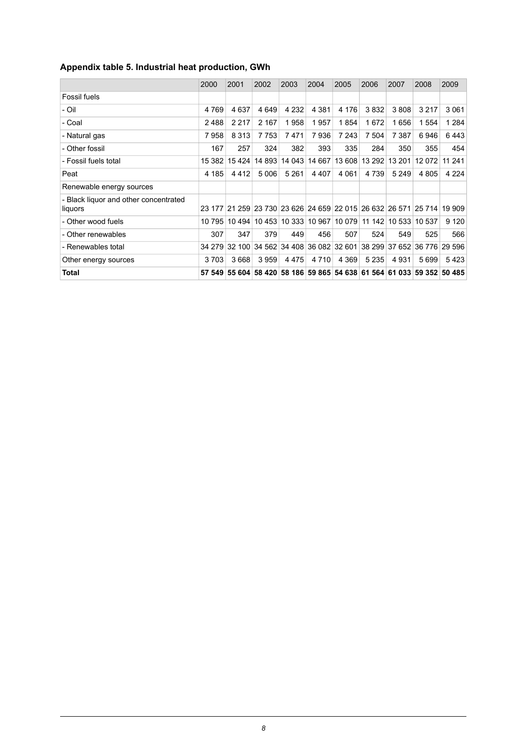### <span id="page-7-0"></span>**Appendix table 5. Industrial heat production, GWh**

|                                                  | 2000    | 2001    | 2002                                                           | 2003    | 2004          | 2005                                                    | 2006    | 2007    | 2008          | 2009                                                                  |
|--------------------------------------------------|---------|---------|----------------------------------------------------------------|---------|---------------|---------------------------------------------------------|---------|---------|---------------|-----------------------------------------------------------------------|
| Fossil fuels                                     |         |         |                                                                |         |               |                                                         |         |         |               |                                                                       |
| - Oil                                            | 4 7 6 9 | 4637    | 4649                                                           | 4 2 3 2 | 4 3 8 1       | 4 1 7 6                                                 | 3832    | 3808    | 3 2 1 7       | 3 0 6 1                                                               |
| - Coal                                           | 2488    | 2 2 1 7 | 2 1 6 7                                                        | 1958    | 1957          | 1854                                                    | 1672    | 1656    | 1 554         | 1 2 8 4                                                               |
| - Natural gas                                    | 7958    | 8 3 1 3 | 7 7 5 3                                                        | 7471    | 7936          | 7 243                                                   | 7 504   | 7 3 8 7 | 6946          | 6443                                                                  |
| - Other fossil                                   | 167     | 257     | 324                                                            | 382     | 393           | 335                                                     | 284     | 350     | 355           | 454                                                                   |
| - Fossil fuels total                             | 15 382  | 15 4 24 | 14 893                                                         |         | 14 043 14 667 | 13 608                                                  | 13 292  | 13 201  | 12 072        | 11 241                                                                |
| Peat                                             | 4 185   | 4 4 1 2 | 5 0 0 6                                                        | 5 2 6 1 | 4 4 0 7       | 4 0 61                                                  | 4 7 3 9 | 5 2 4 9 | 4 8 0 5       | 4 2 2 4                                                               |
| Renewable energy sources                         |         |         |                                                                |         |               |                                                         |         |         |               |                                                                       |
| - Black liquor and other concentrated<br>liquors |         |         | 23 177 21 259 23 730 23 626 24 659 22 015 26 632 26 571 25 714 |         |               |                                                         |         |         |               | 19 909                                                                |
| - Other wood fuels                               |         |         | 10 795 10 494 10 453 10 333 10 967 10 079                      |         |               |                                                         | 11142   |         | 10 533 10 537 | 9 1 2 0                                                               |
| - Other renewables                               | 307     | 347     | 379                                                            | 449     | 456           | 507                                                     | 524     | 549     | 525           | 566                                                                   |
| - Renewables total                               | 34 279  | 32 100  |                                                                |         |               | 34 562 34 408 36 082 32 601 38 299 37 652 36 776 29 596 |         |         |               |                                                                       |
| Other energy sources                             | 3703    | 3668    | 3959                                                           | 4475    | 4 7 1 0       | 4 3 6 9                                                 | 5 2 3 5 | 4931    | 5699          | 5423                                                                  |
| <b>Total</b>                                     |         |         |                                                                |         |               |                                                         |         |         |               | 57 549 55 604 58 420 58 186 59 865 54 638 61 564 61 033 59 352 50 485 |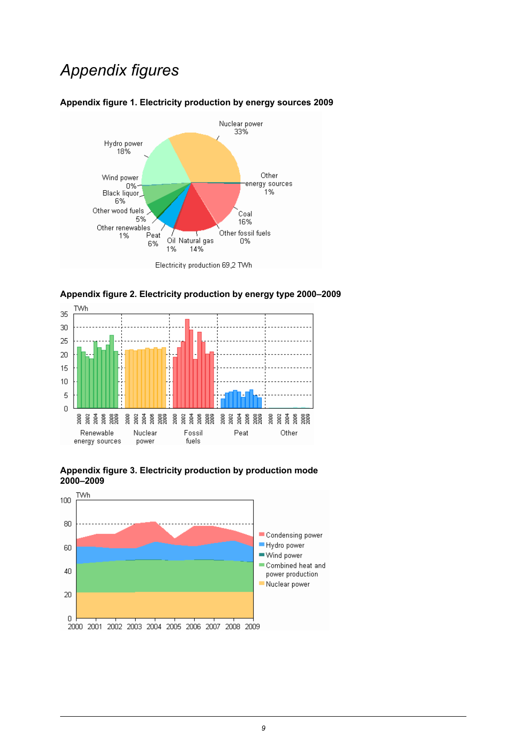## *Appendix figures*



### <span id="page-8-0"></span>**Appendix figure 1. Electricity production by energy sources 2009**



<span id="page-8-1"></span>**Appendix figure 2. Electricity production by energy type 2000–2009**

<span id="page-8-2"></span>

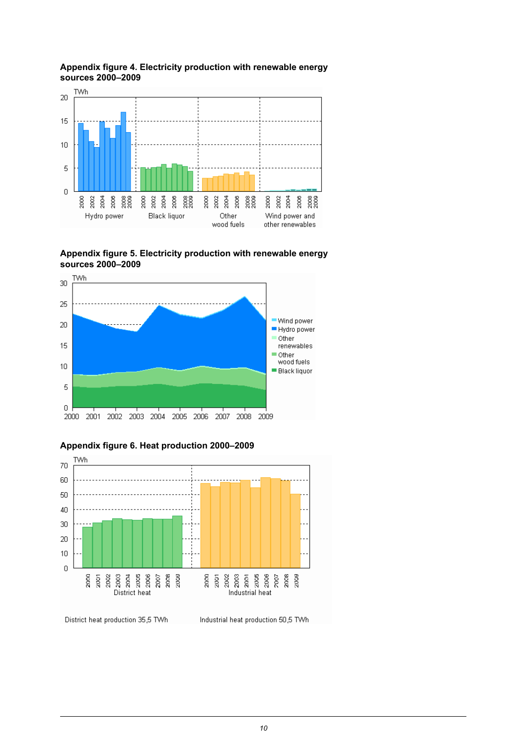

<span id="page-9-0"></span>**Appendix figure 4. Electricity production with renewable energy sources 2000–2009**

<span id="page-9-1"></span>**Appendix figure 5. Electricity production with renewable energy sources 2000–2009**



#### <span id="page-9-2"></span>**Appendix figure 6. Heat production 2000–2009**



District heat production 35,5 TWh

Industrial heat production 50,5 TWh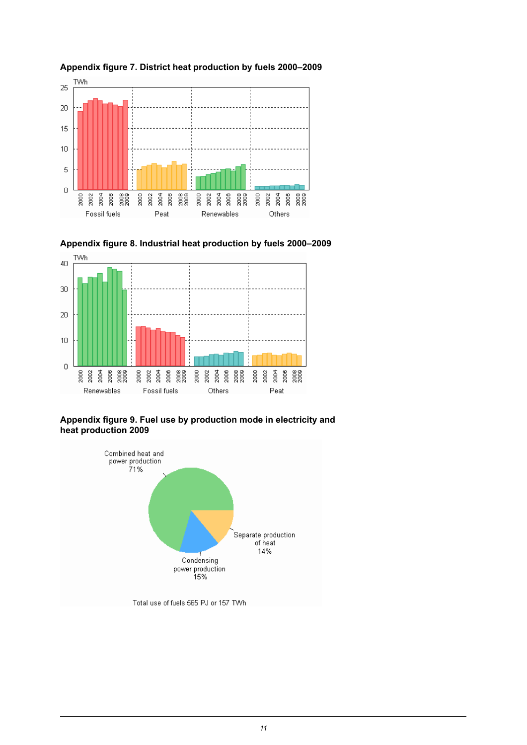<span id="page-10-0"></span>



<span id="page-10-1"></span>

#### <span id="page-10-2"></span>**Appendix figure 9. Fuel use by production mode in electricity and heat production 2009**

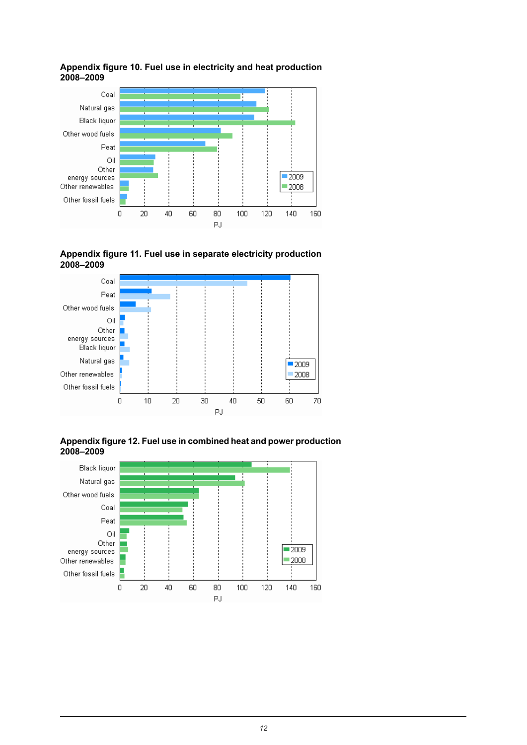

#### <span id="page-11-0"></span>**Appendix figure 10. Fuel use in electricity and heat production 2008–2009**

<span id="page-11-1"></span>



#### <span id="page-11-2"></span>**Appendixfigure12. Fuel usein combined heatand power production 2008–2009**

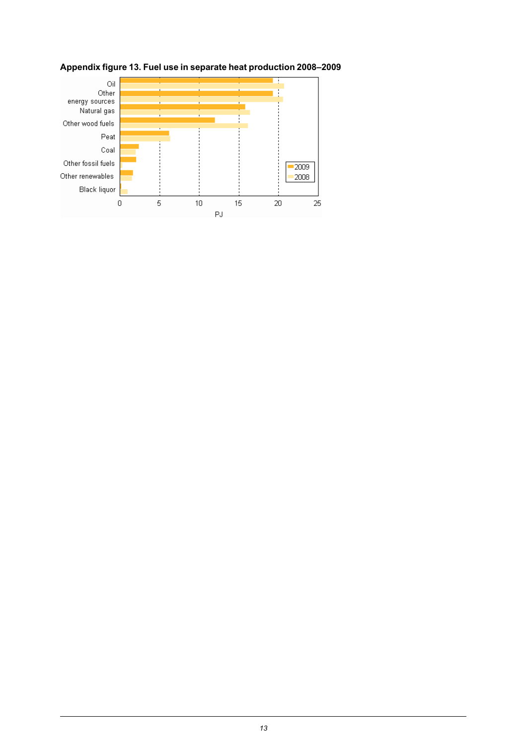

### <span id="page-12-0"></span>**Appendix figure 13. Fuel use in separate heat production 2008–2009**